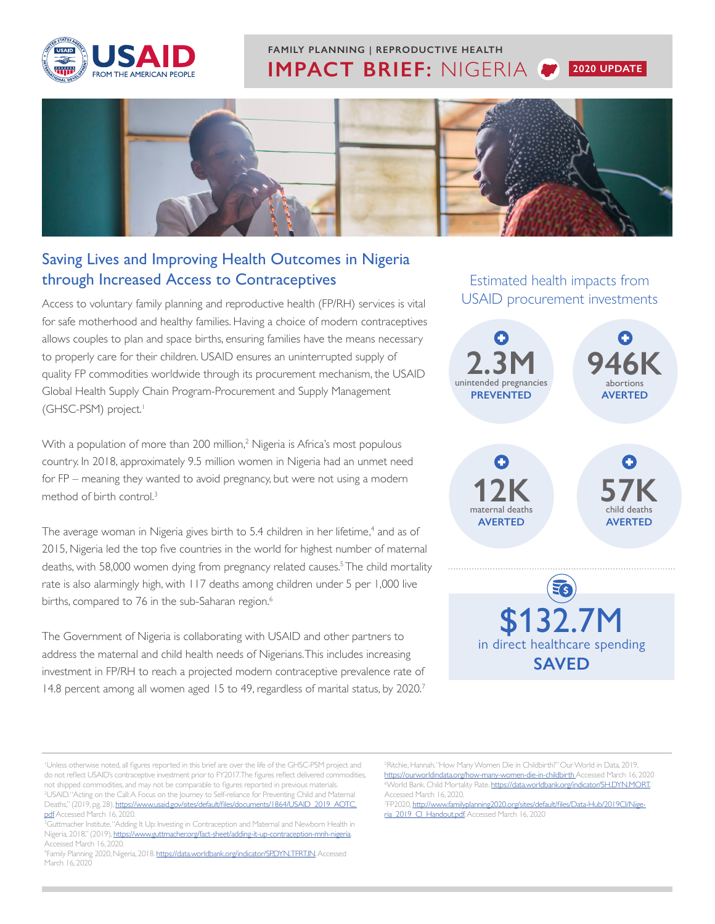

## **IMPACT BRIEF:** NIGERIA **2020 UPDATE FAMILY PLANNING | REPRODUCTIVE HEALTH**



### Saving Lives and Improving Health Outcomes in Nigeria through Increased Access to Contraceptives

Access to voluntary family planning and reproductive health (FP/RH) services is vital for safe motherhood and healthy families. Having a choice of modern contraceptives allows couples to plan and space births, ensuring families have the means necessary to properly care for their children. USAID ensures an uninterrupted supply of quality FP commodities worldwide through its procurement mechanism, the USAID Global Health Supply Chain Program-Procurement and Supply Management (GHSC-PSM) project.<sup>1</sup>

With a population of more than 200 million,<sup>2</sup> Nigeria is Africa's most populous country. In 2018, approximately 9.5 million women in Nigeria had an unmet need for FP – meaning they wanted to avoid pregnancy, but were not using a modern method of birth control.3

The average woman in Nigeria gives birth to 5.4 children in her lifetime,<sup>4</sup> and as of 2015, Nigeria led the top five countries in the world for highest number of maternal deaths, with 58,000 women dying from pregnancy related causes.5 The child mortality rate is also alarmingly high, with 117 deaths among children under 5 per 1,000 live births, compared to 76 in the sub-Saharan region.<sup>6</sup>

The Government of Nigeria is collaborating with USAID and other partners to address the maternal and child health needs of Nigerians. This includes increasing investment in FP/RH to reach a projected modern contraceptive prevalence rate of 14.8 percent among all women aged 15 to 49, regardless of marital status, by 2020.<sup>7</sup>

Estimated health impacts from USAID procurement investments



<sup>5</sup>Ritchie, Hannah. "How Many Women Die in Childbirth?" Our World in Data, 2019, <https://ourworldindata.org/how-many-women-die-in-childbirth> Accessed March 16, 2020 <sup>6</sup>World Bank, Child Mortality Rate, https://data.worldbank.org/indicator/SH,DYN,MORT, Accessed March 16, 2020.

<sup>7</sup>[FP2020,](http://www.familyplanning2020.org/nigeria) [http://www.familyplanning2020.org/sites/default/files/Data-Hub/2019CI/Nige](http://www.familyplanning2020.org/sites/default/files/Data-Hub/2019CI/Nigeria_2019_CI_Handout.pdf)[ria\\_2019\\_CI\\_Handout.pdf](http://www.familyplanning2020.org/sites/default/files/Data-Hub/2019CI/Nigeria_2019_CI_Handout.pdf). Accessed March 16, 2020

Unless otherwise noted, all figures reported in this brief are over the life of the GHSC-PSM project and do not reflect USAID's contraceptive investment prior to FY2017.The figures reflect delivered commodities, not shipped commodities, and may not be comparable to figures reported in previous materials. 2 USAID. "Acting on the Call: A Focus on the Journey to Self-reliance for Preventing Child and Maternal Deaths," (2019, pg. 28), [https://www.usaid.gov/sites/default/files/documents/1864/USAID\\_2019\\_AOTC.](https://www.usaid.gov/sites/default/files/documents/1864/USAID_2019_AOTC.pdf)

[pdf](https://www.usaid.gov/sites/default/files/documents/1864/USAID_2019_AOTC.pdf) Accessed March 16, 2020. <sup>3</sup>Guttmacher Institute. "Adding It Up: Investing in Contraception and Maternal and Newborn Health in Nigeria, 2018," (2019),<https://www.guttmacher.org/fact-sheet/adding-it-up-contraception-mnh-nigeria>. Accessed March 16, 2020.

<sup>4</sup> Family Planning 2020, Nigeria, 2018. <https://data.worldbank.org/indicator/SP.DYN.TFRT.IN>. Accessed March 16, 2020